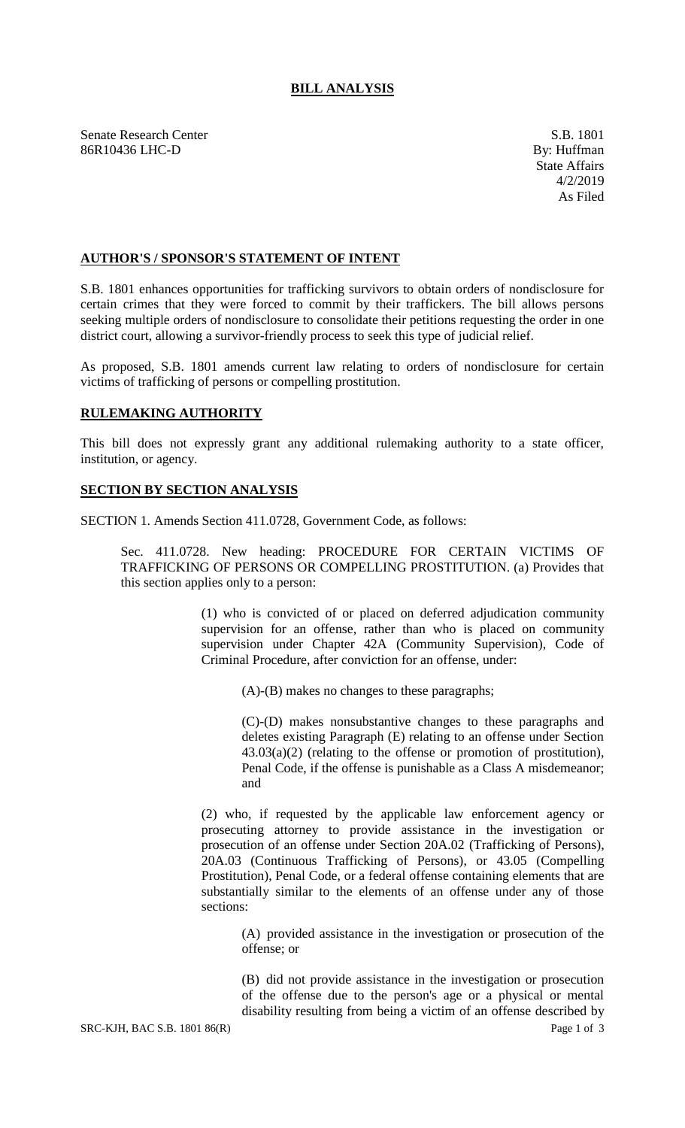## **BILL ANALYSIS**

Senate Research Center S.B. 1801 86R10436 LHC-D By: Huffman

## **AUTHOR'S / SPONSOR'S STATEMENT OF INTENT**

S.B. 1801 enhances opportunities for trafficking survivors to obtain orders of nondisclosure for certain crimes that they were forced to commit by their traffickers. The bill allows persons seeking multiple orders of nondisclosure to consolidate their petitions requesting the order in one district court, allowing a survivor-friendly process to seek this type of judicial relief.

As proposed, S.B. 1801 amends current law relating to orders of nondisclosure for certain victims of trafficking of persons or compelling prostitution.

## **RULEMAKING AUTHORITY**

This bill does not expressly grant any additional rulemaking authority to a state officer, institution, or agency.

## **SECTION BY SECTION ANALYSIS**

SECTION 1. Amends Section 411.0728, Government Code, as follows:

Sec. 411.0728. New heading: PROCEDURE FOR CERTAIN VICTIMS OF TRAFFICKING OF PERSONS OR COMPELLING PROSTITUTION. (a) Provides that this section applies only to a person:

> (1) who is convicted of or placed on deferred adjudication community supervision for an offense, rather than who is placed on community supervision under Chapter 42A (Community Supervision), Code of Criminal Procedure, after conviction for an offense, under:

> > (A)-(B) makes no changes to these paragraphs;

(C)-(D) makes nonsubstantive changes to these paragraphs and deletes existing Paragraph (E) relating to an offense under Section  $43.03(a)(2)$  (relating to the offense or promotion of prostitution), Penal Code, if the offense is punishable as a Class A misdemeanor; and

(2) who, if requested by the applicable law enforcement agency or prosecuting attorney to provide assistance in the investigation or prosecution of an offense under Section 20A.02 (Trafficking of Persons), 20A.03 (Continuous Trafficking of Persons), or 43.05 (Compelling Prostitution), Penal Code, or a federal offense containing elements that are substantially similar to the elements of an offense under any of those sections:

(A) provided assistance in the investigation or prosecution of the offense; or

(B) did not provide assistance in the investigation or prosecution of the offense due to the person's age or a physical or mental disability resulting from being a victim of an offense described by

SRC-KJH, BAC S.B. 1801 86(R) Page 1 of 3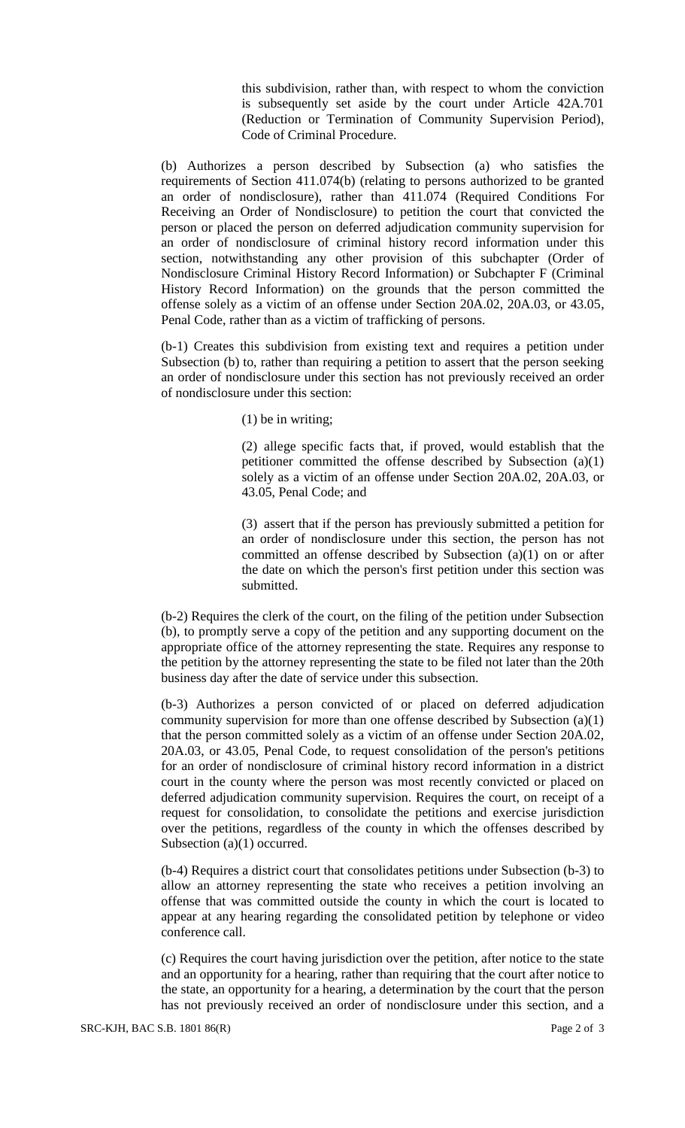this subdivision, rather than, with respect to whom the conviction is subsequently set aside by the court under Article 42A.701 (Reduction or Termination of Community Supervision Period), Code of Criminal Procedure.

(b) Authorizes a person described by Subsection (a) who satisfies the requirements of Section 411.074(b) (relating to persons authorized to be granted an order of nondisclosure), rather than 411.074 (Required Conditions For Receiving an Order of Nondisclosure) to petition the court that convicted the person or placed the person on deferred adjudication community supervision for an order of nondisclosure of criminal history record information under this section, notwithstanding any other provision of this subchapter (Order of Nondisclosure Criminal History Record Information) or Subchapter F (Criminal History Record Information) on the grounds that the person committed the offense solely as a victim of an offense under Section 20A.02, 20A.03, or 43.05, Penal Code, rather than as a victim of trafficking of persons.

(b-1) Creates this subdivision from existing text and requires a petition under Subsection (b) to, rather than requiring a petition to assert that the person seeking an order of nondisclosure under this section has not previously received an order of nondisclosure under this section:

(1) be in writing;

(2) allege specific facts that, if proved, would establish that the petitioner committed the offense described by Subsection (a)(1) solely as a victim of an offense under Section 20A.02, 20A.03, or 43.05, Penal Code; and

(3) assert that if the person has previously submitted a petition for an order of nondisclosure under this section, the person has not committed an offense described by Subsection (a)(1) on or after the date on which the person's first petition under this section was submitted.

(b-2) Requires the clerk of the court, on the filing of the petition under Subsection (b), to promptly serve a copy of the petition and any supporting document on the appropriate office of the attorney representing the state. Requires any response to the petition by the attorney representing the state to be filed not later than the 20th business day after the date of service under this subsection.

(b-3) Authorizes a person convicted of or placed on deferred adjudication community supervision for more than one offense described by Subsection (a)(1) that the person committed solely as a victim of an offense under Section 20A.02, 20A.03, or 43.05, Penal Code, to request consolidation of the person's petitions for an order of nondisclosure of criminal history record information in a district court in the county where the person was most recently convicted or placed on deferred adjudication community supervision. Requires the court, on receipt of a request for consolidation, to consolidate the petitions and exercise jurisdiction over the petitions, regardless of the county in which the offenses described by Subsection (a)(1) occurred.

(b-4) Requires a district court that consolidates petitions under Subsection (b-3) to allow an attorney representing the state who receives a petition involving an offense that was committed outside the county in which the court is located to appear at any hearing regarding the consolidated petition by telephone or video conference call.

(c) Requires the court having jurisdiction over the petition, after notice to the state and an opportunity for a hearing, rather than requiring that the court after notice to the state, an opportunity for a hearing, a determination by the court that the person has not previously received an order of nondisclosure under this section, and a